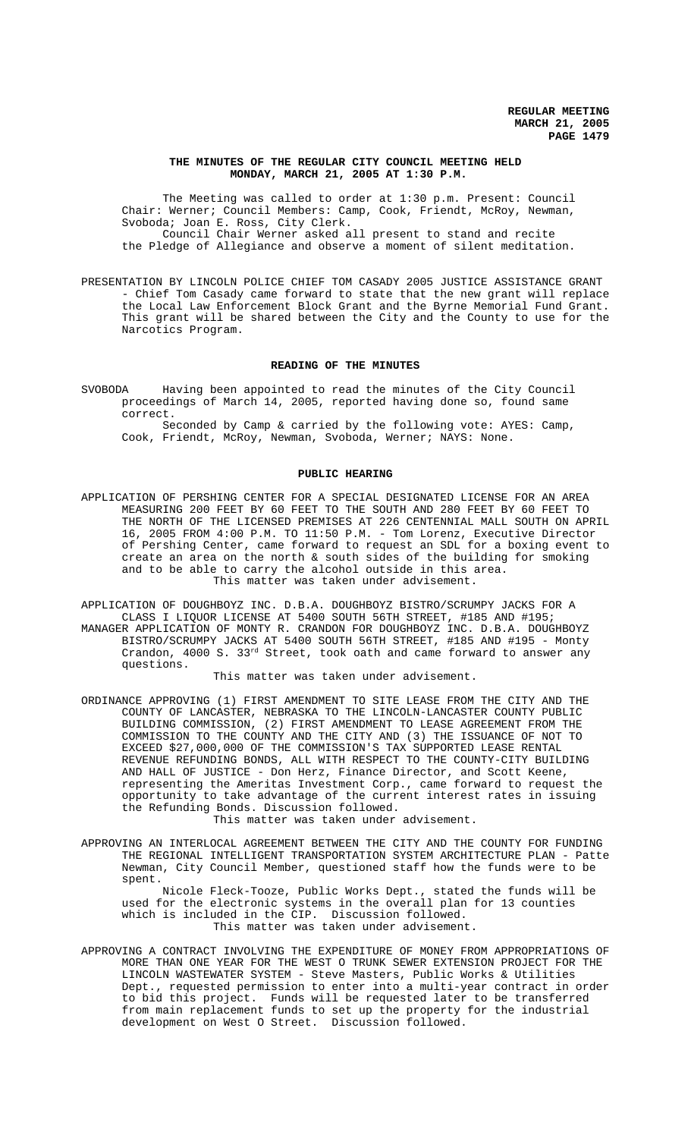### **THE MINUTES OF THE REGULAR CITY COUNCIL MEETING HELD MONDAY, MARCH 21, 2005 AT 1:30 P.M.**

The Meeting was called to order at 1:30 p.m. Present: Council Chair: Werner; Council Members: Camp, Cook, Friendt, McRoy, Newman, Svoboda; Joan E. Ross, City Clerk. Council Chair Werner asked all present to stand and recite the Pledge of Allegiance and observe a moment of silent meditation.

PRESENTATION BY LINCOLN POLICE CHIEF TOM CASADY 2005 JUSTICE ASSISTANCE GRANT - Chief Tom Casady came forward to state that the new grant will replace the Local Law Enforcement Block Grant and the Byrne Memorial Fund Grant. This grant will be shared between the City and the County to use for the Narcotics Program.

#### **READING OF THE MINUTES**

SVOBODA Having been appointed to read the minutes of the City Council proceedings of March 14, 2005, reported having done so, found same correct. Seconded by Camp & carried by the following vote: AYES: Camp, Cook, Friendt, McRoy, Newman, Svoboda, Werner; NAYS: None.

#### **PUBLIC HEARING**

- APPLICATION OF PERSHING CENTER FOR A SPECIAL DESIGNATED LICENSE FOR AN AREA MEASURING 200 FEET BY 60 FEET TO THE SOUTH AND 280 FEET BY 60 FEET TO THE NORTH OF THE LICENSED PREMISES AT 226 CENTENNIAL MALL SOUTH ON APRIL 16, 2005 FROM 4:00 P.M. TO 11:50 P.M. - Tom Lorenz, Executive Director of Pershing Center, came forward to request an SDL for a boxing event to create an area on the north & south sides of the building for smoking and to be able to carry the alcohol outside in this area. This matter was taken under advisement.
- APPLICATION OF DOUGHBOYZ INC. D.B.A. DOUGHBOYZ BISTRO/SCRUMPY JACKS FOR A CLASS I LIQUOR LICENSE AT 5400 SOUTH 56TH STREET, #185 AND #195; MANAGER APPLICATION OF MONTY R. CRANDON FOR DOUGHBOYZ INC. D.B.A. DOUGHBOYZ BISTRO/SCRUMPY JACKS AT 5400 SOUTH 56TH STREET, #185 AND #195 - Monty Crandon, 4000 S. 33rd Street, took oath and came forward to answer any questions.

## This matter was taken under advisement.

ORDINANCE APPROVING (1) FIRST AMENDMENT TO SITE LEASE FROM THE CITY AND THE COUNTY OF LANCASTER, NEBRASKA TO THE LINCOLN-LANCASTER COUNTY PUBLIC BUILDING COMMISSION, (2) FIRST AMENDMENT TO LEASE AGREEMENT FROM THE COMMISSION TO THE COUNTY AND THE CITY AND (3) THE ISSUANCE OF NOT TO EXCEED \$27,000,000 OF THE COMMISSION'S TAX SUPPORTED LEASE RENTAL REVENUE REFUNDING BONDS, ALL WITH RESPECT TO THE COUNTY-CITY BUILDING AND HALL OF JUSTICE - Don Herz, Finance Director, and Scott Keene, representing the Ameritas Investment Corp., came forward to request the opportunity to take advantage of the current interest rates in issuing the Refunding Bonds. Discussion followed.

This matter was taken under advisement.

APPROVING AN INTERLOCAL AGREEMENT BETWEEN THE CITY AND THE COUNTY FOR FUNDING THE REGIONAL INTELLIGENT TRANSPORTATION SYSTEM ARCHITECTURE PLAN - Patte Newman, City Council Member, questioned staff how the funds were to be spent.

Nicole Fleck-Tooze, Public Works Dept., stated the funds will be used for the electronic systems in the overall plan for 13 counties which is included in the CIP. Discussion followed. This matter was taken under advisement.

APPROVING A CONTRACT INVOLVING THE EXPENDITURE OF MONEY FROM APPROPRIATIONS OF MORE THAN ONE YEAR FOR THE WEST O TRUNK SEWER EXTENSION PROJECT FOR THE LINCOLN WASTEWATER SYSTEM - Steve Masters, Public Works & Utilities Dept., requested permission to enter into a multi-year contract in order to bid this project. Funds will be requested later to be transferred from main replacement funds to set up the property for the industrial development on West O Street. Discussion followed.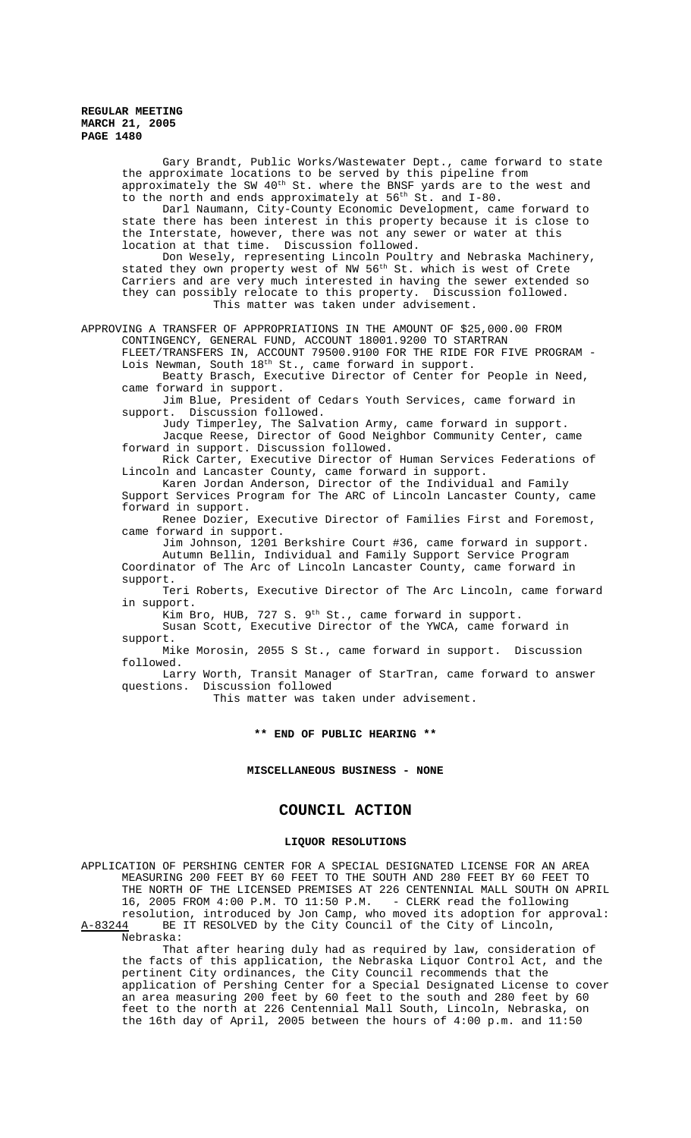Gary Brandt, Public Works/Wastewater Dept., came forward to state the approximate locations to be served by this pipeline from approximately the SW 40<sup>th</sup> St. where the BNSF yards are to the west and to the north and ends approximately at  $56^{th}$  St. and I-80. Darl Naumann, City-County Economic Development, came forward to state there has been interest in this property because it is close to the Interstate, however, there was not any sewer or water at this location at that time. Discussion followed. Don Wesely, representing Lincoln Poultry and Nebraska Machinery, stated they own property west of NW 56<sup>th</sup> St. which is west of Crete Carriers and are very much interested in having the sewer extended so they can possibly relocate to this property. Discussion followed. This matter was taken under advisement. APPROVING A TRANSFER OF APPROPRIATIONS IN THE AMOUNT OF \$25,000.00 FROM CONTINGENCY, GENERAL FUND, ACCOUNT 18001.9200 TO STARTRAN FLEET/TRANSFERS IN, ACCOUNT 79500.9100 FOR THE RIDE FOR FIVE PROGRAM - Lois Newman, South 18<sup>th</sup> St., came forward in support. Beatty Brasch, Executive Director of Center for People in Need, came forward in support. Jim Blue, President of Cedars Youth Services, came forward in support. Discussion followed. Judy Timperley, The Salvation Army, came forward in support. Jacque Reese, Director of Good Neighbor Community Center, came forward in support. Discussion followed. Rick Carter, Executive Director of Human Services Federations of Lincoln and Lancaster County, came forward in support. Karen Jordan Anderson, Director of the Individual and Family Support Services Program for The ARC of Lincoln Lancaster County, came forward in support. Renee Dozier, Executive Director of Families First and Foremost, came forward in support. Jim Johnson, 1201 Berkshire Court #36, came forward in support. Autumn Bellin, Individual and Family Support Service Program Coordinator of The Arc of Lincoln Lancaster County, came forward in support. Teri Roberts, Executive Director of The Arc Lincoln, came forward in support. Kim Bro, HUB, 727 S. 9<sup>th</sup> St., came forward in support. Susan Scott, Executive Director of the YWCA, came forward in support. Mike Morosin, 2055 S St., came forward in support. Discussion followed. Larry Worth, Transit Manager of StarTran, came forward to answer questions. Discussion followed This matter was taken under advisement. **\*\* END OF PUBLIC HEARING \*\* MISCELLANEOUS BUSINESS - NONE COUNCIL ACTION LIQUOR RESOLUTIONS** APPLICATION OF PERSHING CENTER FOR A SPECIAL DESIGNATED LICENSE FOR AN AREA

MEASURING 200 FEET BY 60 FEET TO THE SOUTH AND 280 FEET BY 60 FEET TO THE NORTH OF THE LICENSED PREMISES AT 226 CENTENNIAL MALL SOUTH ON APRIL<br>16, 2005 FROM 4:00 P.M. TO 11:50 P.M. - CLERK read the following 16, 2005 FROM 4:00 P.M. TO 11:50 P.M. resolution, introduced by Jon Camp, who moved its adoption for approval:<br>A-83244 BE IT RESOLVED by the City Council of the City of Lincoln, BE IT RESOLVED by the City Council of the City of Lincoln, Nebraska:

That after hearing duly had as required by law, consideration of the facts of this application, the Nebraska Liquor Control Act, and the pertinent City ordinances, the City Council recommends that the application of Pershing Center for a Special Designated License to cover an area measuring 200 feet by 60 feet to the south and 280 feet by 60 feet to the north at 226 Centennial Mall South, Lincoln, Nebraska, on the 16th day of April, 2005 between the hours of 4:00 p.m. and 11:50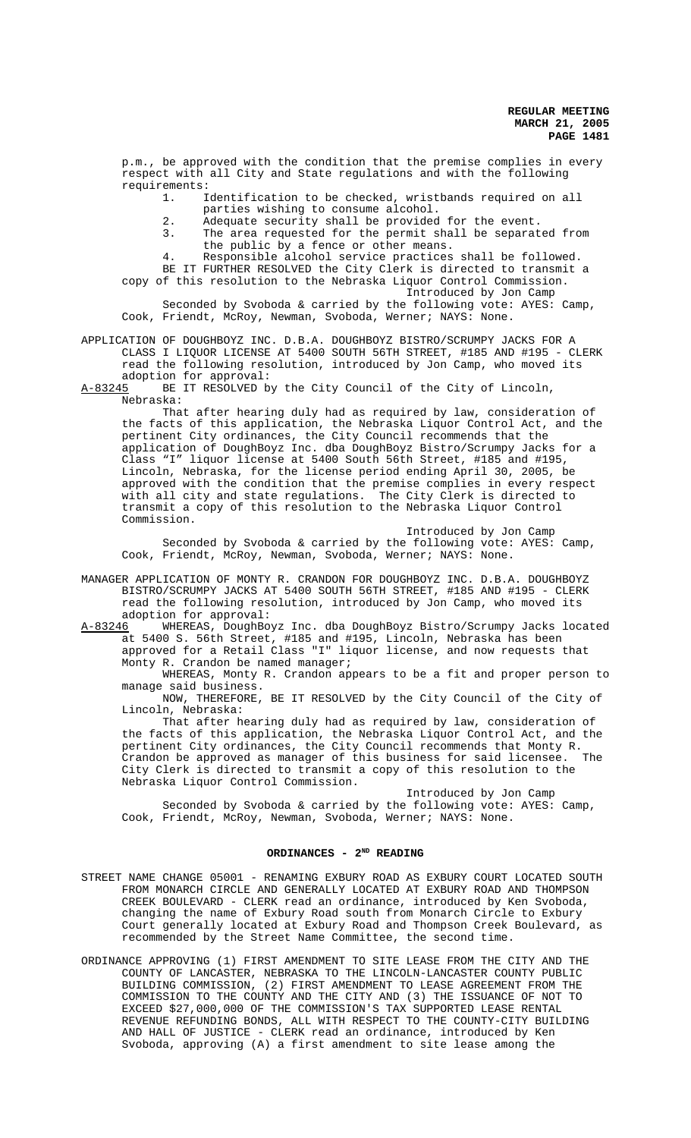p.m., be approved with the condition that the premise complies in every respect with all City and State regulations and with the following requirements:

1. Identification to be checked, wristbands required on all

- parties wishing to consume alcohol.
- 2. Adequate security shall be provided for the event.
- 3. The area requested for the permit shall be separated from the public by a fence or other means.
- 4. Responsible alcohol service practices shall be followed.

BE IT FURTHER RESOLVED the City Clerk is directed to transmit a copy of this resolution to the Nebraska Liquor Control Commission.

Introduced by Jon Camp

Seconded by Svoboda & carried by the following vote: AYES: Camp, Cook, Friendt, McRoy, Newman, Svoboda, Werner; NAYS: None.

APPLICATION OF DOUGHBOYZ INC. D.B.A. DOUGHBOYZ BISTRO/SCRUMPY JACKS FOR A CLASS I LIQUOR LICENSE AT 5400 SOUTH 56TH STREET, #185 AND #195 - CLERK read the following resolution, introduced by Jon Camp, who moved its

adoption for approval:<br>A-83245 BE IT RESOLVED by BE IT RESOLVED by the City Council of the City of Lincoln, Nebraska:

That after hearing duly had as required by law, consideration of the facts of this application, the Nebraska Liquor Control Act, and the pertinent City ordinances, the City Council recommends that the .<br>application of DoughBoyz Inc. dba DoughBoyz Bistro/Scrumpy Jacks for a Class "I" liquor license at 5400 South 56th Street, #185 and #195, Lincoln, Nebraska, for the license period ending April 30, 2005, be approved with the condition that the premise complies in every respect with all city and state regulations. The City Clerk is directed to transmit a copy of this resolution to the Nebraska Liquor Control Commission.

Introduced by Jon Camp Seconded by Svoboda & carried by the following vote: AYES: Camp, Cook, Friendt, McRoy, Newman, Svoboda, Werner; NAYS: None.

- MANAGER APPLICATION OF MONTY R. CRANDON FOR DOUGHBOYZ INC. D.B.A. DOUGHBOYZ BISTRO/SCRUMPY JACKS AT 5400 SOUTH 56TH STREET, #185 AND #195 - CLERK read the following resolution, introduced by Jon Camp, who moved its
- adoption for approval:<br>A-83246 WHEREAS, DoughBo WHEREAS, DoughBoyz Inc. dba DoughBoyz Bistro/Scrumpy Jacks located at 5400 S. 56th Street, #185 and #195, Lincoln, Nebraska has been approved for a Retail Class "I" liquor license, and now requests that Monty R. Crandon be named manager;

WHEREAS, Monty R. Crandon appears to be a fit and proper person to manage said business.

NOW, THEREFORE, BE IT RESOLVED by the City Council of the City of Lincoln, Nebraska:

That after hearing duly had as required by law, consideration of the facts of this application, the Nebraska Liquor Control Act, and the pertinent City ordinances, the City Council recommends that Monty R.<br>Crandon be approved as manager of this business for said licensee. The Crandon be approved as manager of this business for said licensee. City Clerk is directed to transmit a copy of this resolution to the Nebraska Liquor Control Commission.

Introduced by Jon Camp Seconded by Svoboda & carried by the following vote: AYES: Camp, Cook, Friendt, McRoy, Newman, Svoboda, Werner; NAYS: None.

#### **ORDINANCES - 2ND READING**

- STREET NAME CHANGE 05001 RENAMING EXBURY ROAD AS EXBURY COURT LOCATED SOUTH FROM MONARCH CIRCLE AND GENERALLY LOCATED AT EXBURY ROAD AND THOMPSON CREEK BOULEVARD - CLERK read an ordinance, introduced by Ken Svoboda, changing the name of Exbury Road south from Monarch Circle to Exbury Court generally located at Exbury Road and Thompson Creek Boulevard, as recommended by the Street Name Committee, the second time.
- ORDINANCE APPROVING (1) FIRST AMENDMENT TO SITE LEASE FROM THE CITY AND THE COUNTY OF LANCASTER, NEBRASKA TO THE LINCOLN-LANCASTER COUNTY PUBLIC BUILDING COMMISSION, (2) FIRST AMENDMENT TO LEASE AGREEMENT FROM THE COMMISSION TO THE COUNTY AND THE CITY AND (3) THE ISSUANCE OF NOT TO EXCEED \$27,000,000 OF THE COMMISSION'S TAX SUPPORTED LEASE RENTAL REVENUE REFUNDING BONDS, ALL WITH RESPECT TO THE COUNTY-CITY BUILDING AND HALL OF JUSTICE - CLERK read an ordinance, introduced by Ken Svoboda, approving (A) a first amendment to site lease among the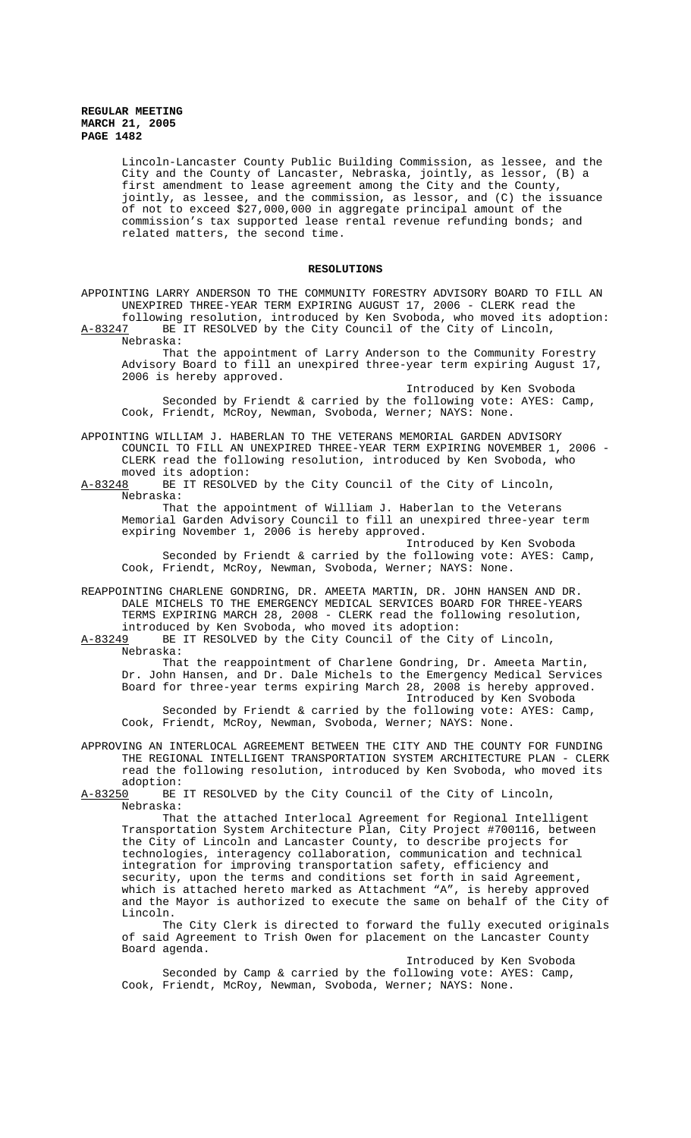Lincoln-Lancaster County Public Building Commission, as lessee, and the City and the County of Lancaster, Nebraska, jointly, as lessor, (B) a first amendment to lease agreement among the City and the County, jointly, as lessee, and the commission, as lessor, and (C) the issuance of not to exceed \$27,000,000 in aggregate principal amount of the commission's tax supported lease rental revenue refunding bonds; and related matters, the second time.

### **RESOLUTIONS**

APPOINTING LARRY ANDERSON TO THE COMMUNITY FORESTRY ADVISORY BOARD TO FILL AN UNEXPIRED THREE-YEAR TERM EXPIRING AUGUST 17, 2006 - CLERK read the following resolution, introduced by Ken Svoboda, who moved its adoption: A-83247 BE IT RESOLVED by the City Council of the City of Lincoln,

Nebraska:

That the appointment of Larry Anderson to the Community Forestry Advisory Board to fill an unexpired three-year term expiring August 17, 2006 is hereby approved.

Introduced by Ken Svoboda Seconded by Friendt & carried by the following vote: AYES: Camp, Cook, Friendt, McRoy, Newman, Svoboda, Werner; NAYS: None.

APPOINTING WILLIAM J. HABERLAN TO THE VETERANS MEMORIAL GARDEN ADVISORY COUNCIL TO FILL AN UNEXPIRED THREE-YEAR TERM EXPIRING NOVEMBER 1, 2006 - CLERK read the following resolution, introduced by Ken Svoboda, who

moved its adoption:<br>A-83248 BE IT RESOLVE BE IT RESOLVED by the City Council of the City of Lincoln, Nebraska:

That the appointment of William J. Haberlan to the Veterans Memorial Garden Advisory Council to fill an unexpired three-year term expiring November 1, 2006 is hereby approved.

Introduced by Ken Svoboda Seconded by Friendt & carried by the following vote: AYES: Camp, Cook, Friendt, McRoy, Newman, Svoboda, Werner; NAYS: None.

REAPPOINTING CHARLENE GONDRING, DR. AMEETA MARTIN, DR. JOHN HANSEN AND DR. DALE MICHELS TO THE EMERGENCY MEDICAL SERVICES BOARD FOR THREE-YEARS TERMS EXPIRING MARCH 28, 2008 - CLERK read the following resolution,

introduced by Ken Svoboda, who moved its adoption:<br>A-83249 BE IT RESOLVED by the City Council of the Ci BE IT RESOLVED by the City Council of the City of Lincoln, Nebraska:

That the reappointment of Charlene Gondring, Dr. Ameeta Martin, Dr. John Hansen, and Dr. Dale Michels to the Emergency Medical Services Board for three-year terms expiring March 28, 2008 is hereby approved. Introduced by Ken Svoboda Seconded by Friendt & carried by the following vote: AYES: Camp,

Cook, Friendt, McRoy, Newman, Svoboda, Werner; NAYS: None. APPROVING AN INTERLOCAL AGREEMENT BETWEEN THE CITY AND THE COUNTY FOR FUNDING

THE REGIONAL INTELLIGENT TRANSPORTATION SYSTEM ARCHITECTURE PLAN - CLERK read the following resolution, introduced by Ken Svoboda, who moved its

adoption:<br><u>A-83250</u> BE BE IT RESOLVED by the City Council of the City of Lincoln, Nebraska:

That the attached Interlocal Agreement for Regional Intelligent Transportation System Architecture Plan, City Project #700116, between the City of Lincoln and Lancaster County, to describe projects for technologies, interagency collaboration, communication and technical integration for improving transportation safety, efficiency and security, upon the terms and conditions set forth in said Agreement, which is attached hereto marked as Attachment "A", is hereby approved and the Mayor is authorized to execute the same on behalf of the City of Lincoln.

The City Clerk is directed to forward the fully executed originals of said Agreement to Trish Owen for placement on the Lancaster County Board agenda.

Introduced by Ken Svoboda Seconded by Camp & carried by the following vote: AYES: Camp, Cook, Friendt, McRoy, Newman, Svoboda, Werner; NAYS: None.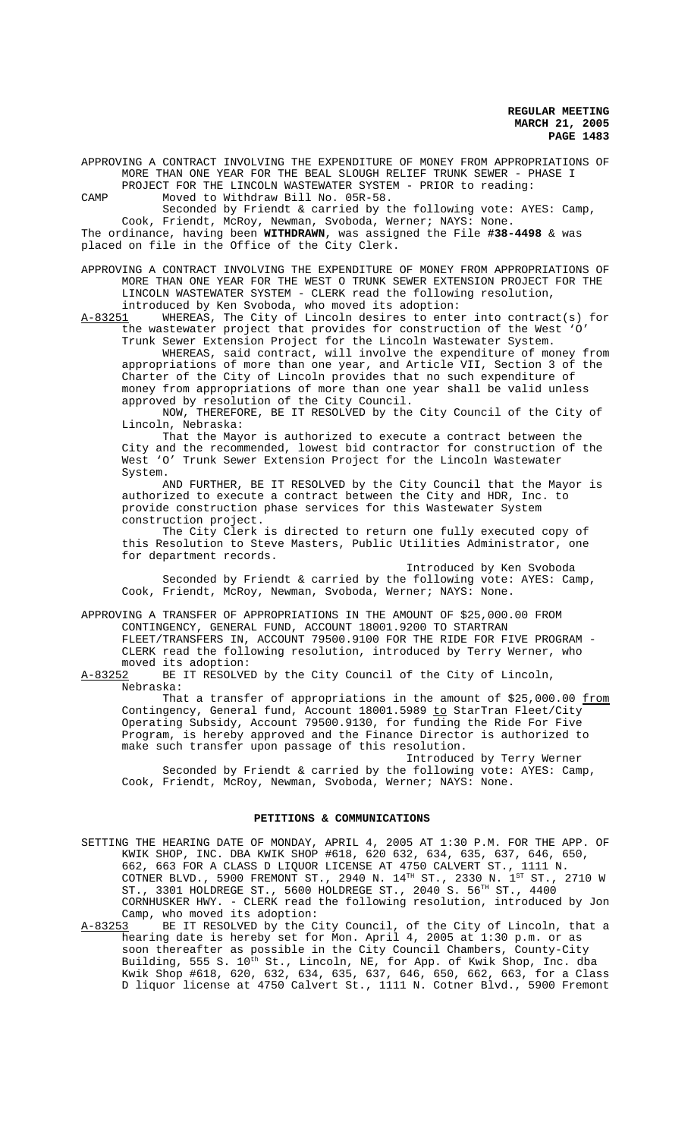APPROVING A CONTRACT INVOLVING THE EXPENDITURE OF MONEY FROM APPROPRIATIONS OF MORE THAN ONE YEAR FOR THE BEAL SLOUGH RELIEF TRUNK SEWER - PHASE I PROJECT FOR THE LINCOLN WASTEWATER SYSTEM - PRIOR to reading:

CAMP Moved to Withdraw Bill No. 05R-58.

Seconded by Friendt & carried by the following vote: AYES: Camp, Cook, Friendt, McRoy, Newman, Svoboda, Werner; NAYS: None. The ordinance, having been **WITHDRAWN**, was assigned the File **#38-4498** & was placed on file in the Office of the City Clerk.

APPROVING A CONTRACT INVOLVING THE EXPENDITURE OF MONEY FROM APPROPRIATIONS OF MORE THAN ONE YEAR FOR THE WEST O TRUNK SEWER EXTENSION PROJECT FOR THE LINCOLN WASTEWATER SYSTEM - CLERK read the following resolution, introduced by Ken Svoboda, who moved its adoption:

A-83251 WHEREAS, The City of Lincoln desires to enter into contract(s) for the wastewater project that provides for construction of the West 'O' Trunk Sewer Extension Project for the Lincoln Wastewater System.

WHEREAS, said contract, will involve the expenditure of money from appropriations of more than one year, and Article VII, Section 3 of the Charter of the City of Lincoln provides that no such expenditure of money from appropriations of more than one year shall be valid unless approved by resolution of the City Council.

NOW, THEREFORE, BE IT RESOLVED by the City Council of the City of Lincoln, Nebraska:

That the Mayor is authorized to execute a contract between the City and the recommended, lowest bid contractor for construction of the West 'O' Trunk Sewer Extension Project for the Lincoln Wastewater System.

AND FURTHER, BE IT RESOLVED by the City Council that the Mayor is authorized to execute a contract between the City and HDR, Inc. to provide construction phase services for this Wastewater System construction project.

The City Clerk is directed to return one fully executed copy of this Resolution to Steve Masters, Public Utilities Administrator, one for department records.

Introduced by Ken Svoboda Seconded by Friendt & carried by the following vote: AYES: Camp, Cook, Friendt, McRoy, Newman, Svoboda, Werner; NAYS: None.

APPROVING A TRANSFER OF APPROPRIATIONS IN THE AMOUNT OF \$25,000.00 FROM CONTINGENCY, GENERAL FUND, ACCOUNT 18001.9200 TO STARTRAN

FLEET/TRANSFERS IN, ACCOUNT 79500.9100 FOR THE RIDE FOR FIVE PROGRAM - CLERK read the following resolution, introduced by Terry Werner, who moved its adoption:<br>A-83252 BE IT RESOLVE

BE IT RESOLVED by the City Council of the City of Lincoln, Nebraska:

That a transfer of appropriations in the amount of  $$25,000.00$  from Contingency, General fund, Account 18001.5989 <u>to</u> StarTran Fleet/City Operating Subsidy, Account 79500.9130, for funding the Ride For Five Program, is hereby approved and the Finance Director is authorized to make such transfer upon passage of this resolution.

Introduced by Terry Werner Seconded by Friendt & carried by the following vote: AYES: Camp, Cook, Friendt, McRoy, Newman, Svoboda, Werner; NAYS: None.

### **PETITIONS & COMMUNICATIONS**

SETTING THE HEARING DATE OF MONDAY, APRIL 4, 2005 AT 1:30 P.M. FOR THE APP. OF KWIK SHOP, INC. DBA KWIK SHOP #618, 620 632, 634, 635, 637, 646, 650, 662, 663 FOR A CLASS D LIQUOR LICENSE AT 4750 CALVERT ST., 1111 N. COTNER BLVD., 5900 FREMONT ST., 2940 N.  $14^{TH}$  ST., 2330 N.  $1^{ST}$  ST., 2710 W ST., 3301 HOLDREGE ST., 5600 HOLDREGE ST., 2040 S. 56<sup>TH</sup> ST., 4400 CORNHUSKER HWY. - CLERK read the following resolution, introduced by Jon Camp, who moved its adoption:<br>A-83253 BE IT RESOLVED by the C

A-83253 BE IT RESOLVED by the City Council, of the City of Lincoln, that a hearing date is hereby set for Mon. April 4, 2005 at 1:30 p.m. or as soon thereafter as possible in the City Council Chambers, County-City Building, 555 S. 10<sup>th</sup> St., Lincoln, NE, for App. of Kwik Shop, Inc. dba Kwik Shop #618, 620, 632, 634, 635, 637, 646, 650, 662, 663, for a Class D liquor license at 4750 Calvert St., 1111 N. Cotner Blvd., 5900 Fremont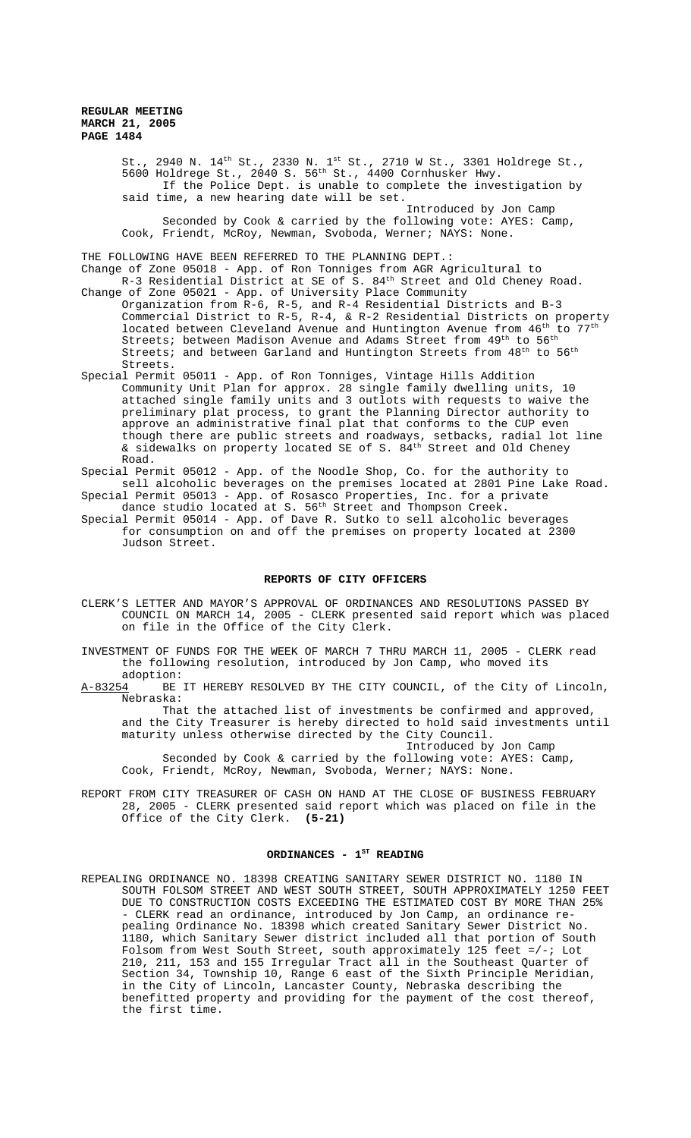St., 2940 N.  $14^{\text{th}}$  St., 2330 N.  $1^{\text{st}}$  St., 2710 W St., 3301 Holdrege St., 5600 Holdrege St., 2040 S. 56th St., 4400 Cornhusker Hwy. If the Police Dept. is unable to complete the investigation by said time, a new hearing date will be set. Introduced by Jon Camp Seconded by Cook & carried by the following vote: AYES: Camp, Cook, Friendt, McRoy, Newman, Svoboda, Werner; NAYS: None. THE FOLLOWING HAVE BEEN REFERRED TO THE PLANNING DEPT.:

Change of Zone 05018 - App. of Ron Tonniges from AGR Agricultural to R-3 Residential District at SE of S. 84<sup>th</sup> Street and Old Cheney Road.

- Change of Zone 05021 App. of University Place Community Organization from R-6, R-5, and R-4 Residential Districts and B-3 Commercial District to R-5, R-4, & R-2 Residential Districts on property located between Cleveland Avenue and Huntington Avenue from 46<sup>th</sup> to 77<sup>th</sup> Streets; between Madison Avenue and Adams Street from  $49^{th}$  to  $56^{th}$ Streets; and between Garland and Huntington Streets from 48<sup>th</sup> to 56<sup>th</sup> Streets.
- Special Permit 05011 App. of Ron Tonniges, Vintage Hills Addition Community Unit Plan for approx. 28 single family dwelling units, 10 attached single family units and 3 outlots with requests to waive the preliminary plat process, to grant the Planning Director authority to approve an administrative final plat that conforms to the CUP even though there are public streets and roadways, setbacks, radial lot line & sidewalks on property located SE of S.  $84^{\text{th}}$  Street and Old Cheney Road.

Special Permit 05012 - App. of the Noodle Shop, Co. for the authority to sell alcoholic beverages on the premises located at 2801 Pine Lake Road. Special Permit 05013 - App. of Rosasco Properties, Inc. for a private

dance studio located at S. 56<sup>th</sup> Street and Thompson Creek.

Special Permit 05014 - App. of Dave R. Sutko to sell alcoholic beverages for consumption on and off the premises on property located at 2300 Judson Street.

#### **REPORTS OF CITY OFFICERS**

- CLERK'S LETTER AND MAYOR'S APPROVAL OF ORDINANCES AND RESOLUTIONS PASSED BY COUNCIL ON MARCH 14, 2005 - CLERK presented said report which was placed on file in the Office of the City Clerk.
- INVESTMENT OF FUNDS FOR THE WEEK OF MARCH 7 THRU MARCH 11, 2005 CLERK read the following resolution, introduced by Jon Camp, who moved its adoption:
- A-83254 BE IT HEREBY RESOLVED BY THE CITY COUNCIL, of the City of Lincoln, Nebraska:

That the attached list of investments be confirmed and approved, and the City Treasurer is hereby directed to hold said investments until maturity unless otherwise directed by the City Council.

Introduced by Jon Camp Seconded by Cook & carried by the following vote: AYES: Camp, Cook, Friendt, McRoy, Newman, Svoboda, Werner; NAYS: None.

REPORT FROM CITY TREASURER OF CASH ON HAND AT THE CLOSE OF BUSINESS FEBRUARY 28, 2005 - CLERK presented said report which was placed on file in the Office of the City Clerk. **(5-21)**

# ORDINANCES - 1<sup>ST</sup> READING

REPEALING ORDINANCE NO. 18398 CREATING SANITARY SEWER DISTRICT NO. 1180 IN SOUTH FOLSOM STREET AND WEST SOUTH STREET, SOUTH APPROXIMATELY 1250 FEET DUE TO CONSTRUCTION COSTS EXCEEDING THE ESTIMATED COST BY MORE THAN 25% - CLERK read an ordinance, introduced by Jon Camp, an ordinance repealing Ordinance No. 18398 which created Sanitary Sewer District No. 1180, which Sanitary Sewer district included all that portion of South Folsom from West South Street, south approximately 125 feet  $=/-$ ; Lot 210, 211, 153 and 155 Irregular Tract all in the Southeast Quarter of Section 34, Township 10, Range 6 east of the Sixth Principle Meridian, in the City of Lincoln, Lancaster County, Nebraska describing the benefitted property and providing for the payment of the cost thereof, the first time.